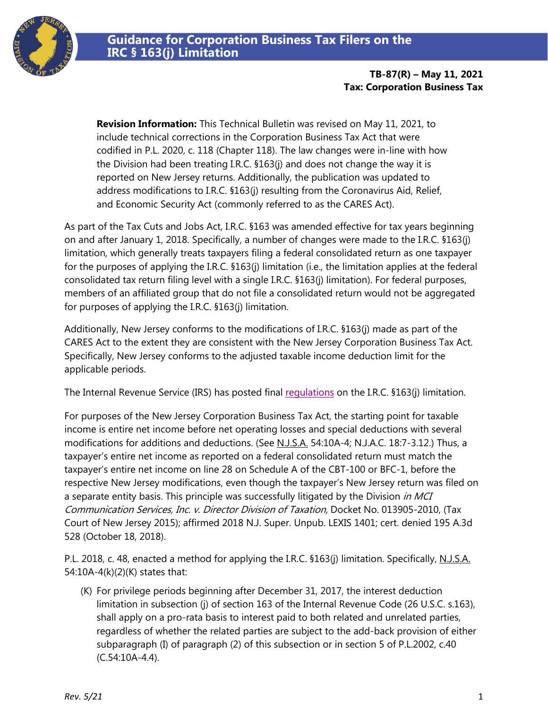

**TB-87(R) – May 11, 2021 Tax: Corporation Business Tax**

**Revision Information:** This Technical Bulletin was revised on May 11, 2021, to include technical corrections in the Corporation Business Tax Act that were codified in P.L. 2020, c. 118 (Chapter 118). The law changes were in-line with how the Division had been treating I.R.C. §163(j) and does not change the way it is reported on New Jersey returns. Additionally, the publication was updated to address modifications to I.R.C. §163(j) resulting from the Coronavirus Aid, Relief, and Economic Security Act (commonly referred to as the CARES Act).

As part of the Tax Cuts and Jobs Act, I.R.C. §163 was amended effective for tax years beginning on and after January 1, 2018. Specifically, a number of changes were made to the I.R.C. §163(j) limitation, which generally treats taxpayers filing a federal consolidated return as one taxpayer for the purposes of applying the I.R.C. §163(j) limitation (i.e., the limitation applies at the federal consolidated tax return filing level with a single I.R.C. §163(j) limitation). For federal purposes, members of an affiliated group that do not file a consolidated return would not be aggregated for purposes of applying the I.R.C. §163(j) limitation.

Additionally, New Jersey conforms to the modifications of I.R.C. §163(j) made as part of the CARES Act to the extent they are consistent with the New Jersey Corporation Business Tax Act. Specifically, New Jersey conforms to the adjusted taxable income deduction limit for the applicable periods.

The Internal Revenue Service (IRS) has posted final requilations on the I.R.C. §163(j) limitation.

For purposes of the New Jersey Corporation Business Tax Act, the starting point for taxable income is entire net income before net operating losses and special deductions with several modifications for additions and deductions. (See N.J.S.A. 54:10A-4; N.J.A.C. 18:7-3.12.) Thus, a taxpayer's entire net income as reported on a federal consolidated return must match the taxpayer's entire net income on line 28 on Schedule A of the CBT-100 or BFC-1, before the respective New Jersey modifications, even though the taxpayer's New Jersey return was filed on a separate entity basis. This principle was successfully litigated by the Division in MCI Communication Services, Inc. v. Director Division of Taxation, Docket No. 013905-2010, (Tax Court of New Jersey 2015); affirmed 2018 N.J. Super. Unpub. LEXIS 1401; cert. denied 195 A.3d 528 (October 18, 2018).

P.L. 2018, c. 48, enacted a method for applying the I.R.C. §163(j) limitation. Specifically, N.J.S.A. 54:10A-4(k)(2)(K) states that:

(K) For privilege periods beginning after December 31, 2017, the interest deduction limitation in subsection (j) of section 163 of the Internal Revenue Code (26 U.S.C. s.163), shall apply on a pro-rata basis to interest paid to both related and unrelated parties, regardless of whether the related parties are subject to the add-back provision of either subparagraph (I) of paragraph (2) of this subsection or in section 5 of P.L.2002, c.40 (C.54:10A-4.4).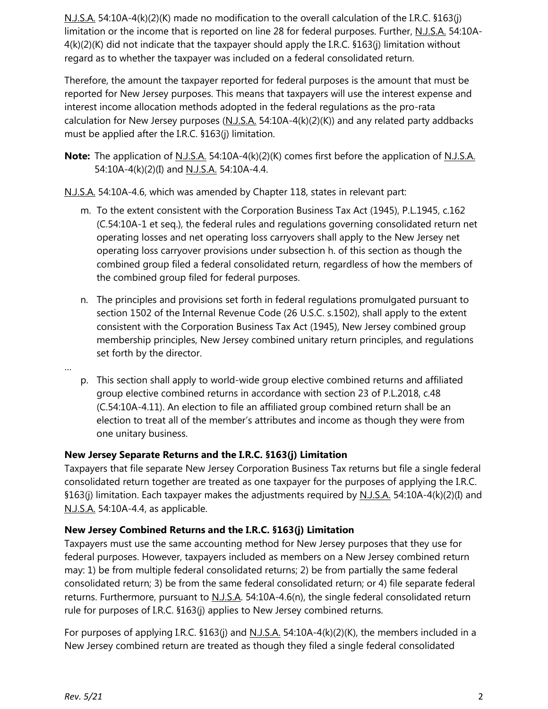N.J.S.A. 54:10A-4(k)(2)(K) made no modification to the overall calculation of the I.R.C. §163(j) limitation or the income that is reported on line 28 for federal purposes. Further, N.J.S.A. 54:10A-4(k)(2)(K) did not indicate that the taxpayer should apply the I.R.C. §163(j) limitation without regard as to whether the taxpayer was included on a federal consolidated return.

Therefore, the amount the taxpayer reported for federal purposes is the amount that must be reported for New Jersey purposes. This means that taxpayers will use the interest expense and interest income allocation methods adopted in the federal regulations as the pro-rata calculation for New Jersey purposes (N.J.S.A. 54:10A-4(k)(2)(K)) and any related party addbacks must be applied after the I.R.C. §163(j) limitation.

**Note:** The application of <u>N.J.S.A.</u> 54:10A-4(k)(2)(K) comes first before the application of <u>N.J.S.A.</u> 54:10A-4(k)(2)(I) and N.J.S.A. 54:10A-4.4.

N.J.S.A. 54:10A-4.6, which was amended by Chapter 118, states in relevant part:

- m. To the extent consistent with the Corporation Business Tax Act (1945), P.L.1945, c.162 (C.54:10A-1 et seq.), the federal rules and regulations governing consolidated return net operating losses and net operating loss carryovers shall apply to the New Jersey net operating loss carryover provisions under subsection h. of this section as though the combined group filed a federal consolidated return, regardless of how the members of the combined group filed for federal purposes.
- n. The principles and provisions set forth in federal regulations promulgated pursuant to section 1502 of the Internal Revenue Code (26 U.S.C. s.1502), shall apply to the extent consistent with the Corporation Business Tax Act (1945), New Jersey combined group membership principles, New Jersey combined unitary return principles, and regulations set forth by the director.
- p. This section shall apply to world-wide group elective combined returns and affiliated group elective combined returns in accordance with section 23 of P.L.2018, c.48 (C.54:10A-4.11). An election to file an affiliated group combined return shall be an election to treat all of the member's attributes and income as though they were from one unitary business.

## **New Jersey Separate Returns and the I.R.C. §163(j) Limitation**

Taxpayers that file separate New Jersey Corporation Business Tax returns but file a single federal consolidated return together are treated as one taxpayer for the purposes of applying the I.R.C. §163(j) limitation. Each taxpayer makes the adjustments required by  $N.J.S.A. 54:10A-4(k)(2)(I)$  and N.J.S.A. 54:10A-4.4, as applicable.

## **New Jersey Combined Returns and the I.R.C. §163(j) Limitation**

Taxpayers must use the same accounting method for New Jersey purposes that they use for federal purposes. However, taxpayers included as members on a New Jersey combined return may: 1) be from multiple federal consolidated returns; 2) be from partially the same federal consolidated return; 3) be from the same federal consolidated return; or 4) file separate federal returns. Furthermore, pursuant to N.J.S.A. 54:10A-4.6(n), the single federal consolidated return rule for purposes of I.R.C. §163(j) applies to New Jersey combined returns.

For purposes of applying I.R.C. §163(j) and N.J.S.A. 54:10A-4(k)(2)(K), the members included in a New Jersey combined return are treated as though they filed a single federal consolidated

…